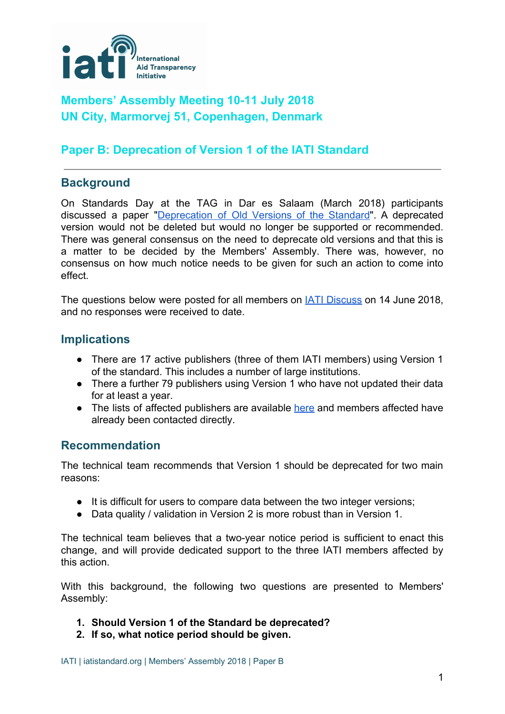

# **Members' Assembly Meeting 10-11 July 2018 UN City, Marmorvej 51, Copenhagen, Denmark**

## **Paper B: [Deprecation](https://discuss.iatistandard.org/t/deprecation-of-version-1-of-the-standard/1350) of Version 1 of the IATI Standard**

## **Background**

On Standards Day at the TAG in Dar es Salaam (March 2018) participants discussed a paper ["Deprecation](https://discuss.iatistandard.org/t/tech-paper-deprecation-of-old-versions-of-the-standard/537) of Old Versions of the Standard". A deprecated version would not be deleted but would no longer be supported or recommended. There was general consensus on the need to deprecate old versions and that this is a matter to be decided by the Members' Assembly. There was, however, no consensus on how much notice needs to be given for such an action to come into effect.

The questions below were posted for all members on IATI [Discuss](https://discuss.iatistandard.org/t/deprecation-of-version-1-of-the-standard/1350) on 14 June 2018, and no responses were received to date.

### **Implications**

- There are 17 active publishers (three of them IATI members) using Version 1 of the standard. This includes a number of large institutions.
- There a further 79 publishers using Version 1 who have not updated their data for at least a year.
- The lists of affected publishers are available [here](https://docs.google.com/spreadsheets/d/1FXaufbSvDilviF5RlMIGEQ35k206-8WH3dHKl5gP1Vk/edit?usp=sharing) and members affected have already been contacted directly.

### **Recommendation**

The technical team recommends that Version 1 should be deprecated for two main reasons:

- It is difficult for users to compare data between the two integer versions;
- Data quality / validation in Version 2 is more robust than in Version 1.

The technical team believes that a two-year notice period is sufficient to enact this change, and will provide dedicated support to the three IATI members affected by this action.

With this background, the following two questions are presented to Members' Assembly:

- **1. Should Version 1 of the Standard be deprecated?**
- **2. If so, what notice period should be given.**